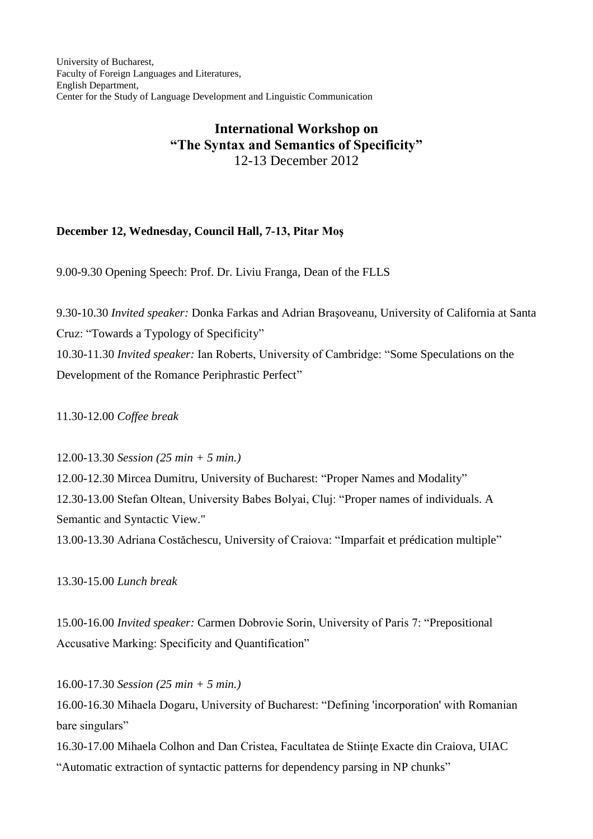University of Bucharest, Faculty of Foreign Languages and Literatures, English Department, Center for the Study of Language Development and Linguistic Communication

## **International Workshop on "The Syntax and Semantics of Specificity"** 12-13 December 2012

## **December 12, Wednesday, Council Hall, 7-13, Pitar Moş**

9.00-9.30 Opening Speech: Prof. Dr. Liviu Franga, Dean of the FLLS

9.30-10.30 *Invited speaker:* Donka Farkas and Adrian Braşoveanu, University of California at Santa Cruz: "Towards a Typology of Specificity"

10.30-11.30 *Invited speaker:* Ian Roberts, University of Cambridge: "Some Speculations on the Development of the Romance Periphrastic Perfect"

11.30-12.00 *Coffee break*

12.00-13.30 *Session (25 min + 5 min.)*

12.00-12.30 Mircea Dumitru, University of Bucharest: "Proper Names and Modality" 12.30-13.00 Stefan Oltean, University Babes Bolyai, Cluj: "Proper names of individuals. A Semantic and Syntactic View."

13.00-13.30 Adriana Costăchescu, University of Craiova: "Imparfait et prédication multiple"

13.30-15.00 *Lunch break*

15.00-16.00 *Invited speaker:* Carmen Dobrovie Sorin, University of Paris 7: "Prepositional Accusative Marking: Specificity and Quantification"

16.00-17.30 *Session (25 min + 5 min.)*

16.00-16.30 Mihaela Dogaru, University of Bucharest: "Defining 'incorporation' with Romanian bare singulars"

16.30-17.00 Mihaela Colhon and Dan Cristea, Facultatea de Stiinţe Exacte din Craiova, UIAC

"Automatic extraction of syntactic patterns for dependency parsing in NP chunks"